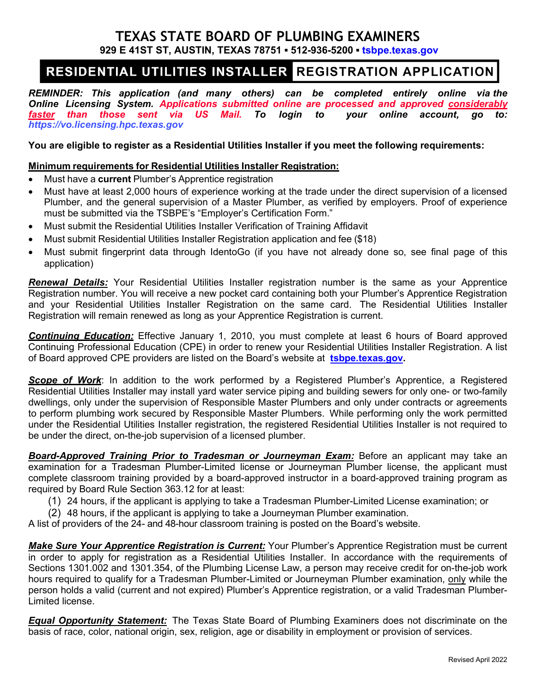## **TEXAS STATE BOARD OF PLUMBING EXAMINERS 929 E 41ST ST, AUSTIN, TEXAS 78751 ▪ 512-936-5200 ▪ [tsbpe.texas.gov](http://www.tsbpe.texas.gov/)**

# RESIDENTIAL UTILITIES INSTALLER REGISTRATION APPLICATION

*REMINDER: This application (and many others) can be completed entirely online via the Online Licensing System. Applications submitted online are processed and approved considerably faster than those sent via US Mail. To login to your online account, go to: [https://vo.licensing.hpc.texas.gov](https://vo.licensing.hpc.texas.gov/)*

**You are eligible to register as a Residential Utilities Installer if you meet the following requirements:**

### **Minimum requirements for Residential Utilities Installer Registration:**

- Must have a **current** Plumber's Apprentice registration
- Must have at least 2,000 hours of experience working at the trade under the direct supervision of a licensed Plumber, and the general supervision of a Master Plumber, as verified by employers. Proof of experience must be submitted via the TSBPE's "Employer's Certification Form."
- Must submit the Residential Utilities Installer Verification of Training Affidavit
- Must submit Residential Utilities Installer Registration application and fee (\$18)
- Must submit fingerprint data through IdentoGo (if you have not already done so, see final page of this application)

*Renewal Details:* Your Residential Utilities Installer registration number is the same as your Apprentice Registration number. You will receive a new pocket card containing both your Plumber's Apprentice Registration and your Residential Utilities Installer Registration on the same card. The Residential Utilities Installer Registration will remain renewed as long as your Apprentice Registration is current.

*Continuing Education:* Effective January 1, 2010, you must complete at least 6 hours of Board approved Continuing Professional Education (CPE) in order to renew your Residential Utilities Installer Registration. A list of Board approved CPE providers are listed on the Board's website at **[tsbpe.texas.gov.](http://www.tsbpe.state.tx.us/)**

**Scope of Work**: In addition to the work performed by a Registered Plumber's Apprentice, a Registered Residential Utilities Installer may install yard water service piping and building sewers for only one- or two-family dwellings, only under the supervision of Responsible Master Plumbers and only under contracts or agreements to perform plumbing work secured by Responsible Master Plumbers. While performing only the work permitted under the Residential Utilities Installer registration, the registered Residential Utilities Installer is not required to be under the direct, on-the-job supervision of a licensed plumber.

*Board-Approved Training Prior to Tradesman or Journeyman Exam:* Before an applicant may take an examination for a Tradesman Plumber-Limited license or Journeyman Plumber license, the applicant must complete classroom training provided by a board-approved instructor in a board-approved training program as required by Board Rule Section 363.12 for at least:

- (1) 24 hours, if the applicant is applying to take a Tradesman Plumber-Limited License examination; or
- (2) 48 hours, if the applicant is applying to take a Journeyman Plumber examination.

A list of providers of the 24- and 48-hour classroom training is posted on the Board's website.

*Make Sure Your Apprentice Registration is Current:* Your Plumber's Apprentice Registration must be current in order to apply for registration as a Residential Utilities Installer. In accordance with the requirements of Sections 1301.002 and 1301.354, of the Plumbing License Law, a person may receive credit for on-the-job work hours required to qualify for a Tradesman Plumber-Limited or Journeyman Plumber examination, only while the person holds a valid (current and not expired) Plumber's Apprentice registration, or a valid Tradesman Plumber-Limited license.

*Equal Opportunity Statement:* The Texas State Board of Plumbing Examiners does not discriminate on the basis of race, color, national origin, sex, religion, age or disability in employment or provision of services.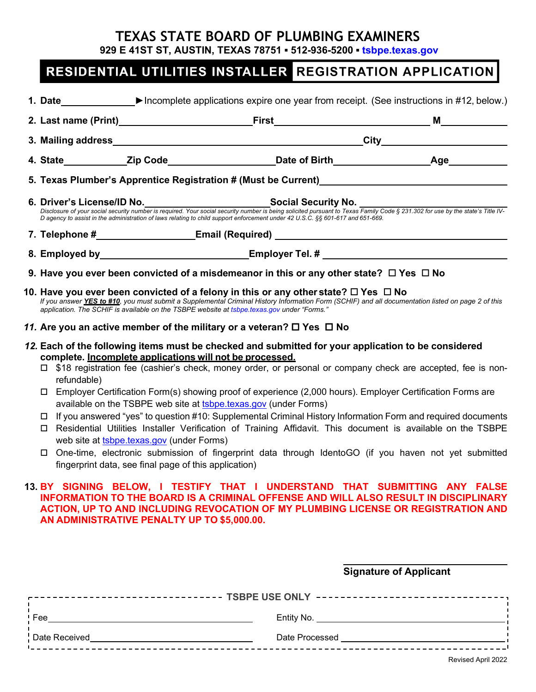# **TEXAS STATE BOARD OF PLUMBING EXAMINERS**

**929 E 41ST ST, AUSTIN, TEXAS 78751 ▪ 512-936-5200 ▪ [tsbpe.texas.gov](http://www.tsbpe.texas.gov/)**

# RESIDENTIAL UTILITIES INSTALLER REGISTRATION APPLICATION

|                                                                                                                                                                                                                                                                 |                                                                                                                                                                                                                                                                                                                                                                                                                                                                                                                                                                                                                                                                                                                                                                                                                                                                                                                            | 1. Date $\blacktriangleright$ Incomplete applications expire one year from receipt. (See instructions in #12, below.)                                                                                                                                                                                                                                                                                                                                         |  |  |
|-----------------------------------------------------------------------------------------------------------------------------------------------------------------------------------------------------------------------------------------------------------------|----------------------------------------------------------------------------------------------------------------------------------------------------------------------------------------------------------------------------------------------------------------------------------------------------------------------------------------------------------------------------------------------------------------------------------------------------------------------------------------------------------------------------------------------------------------------------------------------------------------------------------------------------------------------------------------------------------------------------------------------------------------------------------------------------------------------------------------------------------------------------------------------------------------------------|---------------------------------------------------------------------------------------------------------------------------------------------------------------------------------------------------------------------------------------------------------------------------------------------------------------------------------------------------------------------------------------------------------------------------------------------------------------|--|--|
|                                                                                                                                                                                                                                                                 |                                                                                                                                                                                                                                                                                                                                                                                                                                                                                                                                                                                                                                                                                                                                                                                                                                                                                                                            |                                                                                                                                                                                                                                                                                                                                                                                                                                                               |  |  |
|                                                                                                                                                                                                                                                                 |                                                                                                                                                                                                                                                                                                                                                                                                                                                                                                                                                                                                                                                                                                                                                                                                                                                                                                                            |                                                                                                                                                                                                                                                                                                                                                                                                                                                               |  |  |
|                                                                                                                                                                                                                                                                 |                                                                                                                                                                                                                                                                                                                                                                                                                                                                                                                                                                                                                                                                                                                                                                                                                                                                                                                            |                                                                                                                                                                                                                                                                                                                                                                                                                                                               |  |  |
|                                                                                                                                                                                                                                                                 |                                                                                                                                                                                                                                                                                                                                                                                                                                                                                                                                                                                                                                                                                                                                                                                                                                                                                                                            |                                                                                                                                                                                                                                                                                                                                                                                                                                                               |  |  |
|                                                                                                                                                                                                                                                                 |                                                                                                                                                                                                                                                                                                                                                                                                                                                                                                                                                                                                                                                                                                                                                                                                                                                                                                                            | 6. Driver's License/ID No. _______________________________Social Security No. ________<br>Disclosure of your social security number is required. Your social security number is being solicited pursuant to Texas Family Code § 231.302 for use by the state's Title IV-<br>Disclosure of your social security number is re<br>D agency to assist in the administration of laws relating to child support enforcement under 42 U.S.C. §§ 601-617 and 651-669. |  |  |
|                                                                                                                                                                                                                                                                 |                                                                                                                                                                                                                                                                                                                                                                                                                                                                                                                                                                                                                                                                                                                                                                                                                                                                                                                            |                                                                                                                                                                                                                                                                                                                                                                                                                                                               |  |  |
|                                                                                                                                                                                                                                                                 |                                                                                                                                                                                                                                                                                                                                                                                                                                                                                                                                                                                                                                                                                                                                                                                                                                                                                                                            | 8. Employed by____________________________Employer Tel. # ______________________                                                                                                                                                                                                                                                                                                                                                                              |  |  |
|                                                                                                                                                                                                                                                                 | 9. Have you ever been convicted of a misdemeanor in this or any other state? $\Box$ Yes $\Box$ No                                                                                                                                                                                                                                                                                                                                                                                                                                                                                                                                                                                                                                                                                                                                                                                                                          |                                                                                                                                                                                                                                                                                                                                                                                                                                                               |  |  |
|                                                                                                                                                                                                                                                                 | 10. Have you ever been convicted of a felony in this or any other state? $\Box$ Yes $\Box$ No<br>If you answer YES to #10, you must submit a Supplemental Criminal History Information Form (SCHIF) and all documentation listed on page 2 of this<br>application. The SCHIF is available on the TSBPE website at tsbpe texas gov under "Forms."                                                                                                                                                                                                                                                                                                                                                                                                                                                                                                                                                                           |                                                                                                                                                                                                                                                                                                                                                                                                                                                               |  |  |
|                                                                                                                                                                                                                                                                 | 11. Are you an active member of the military or a veteran? $\Box$ Yes $\Box$ No                                                                                                                                                                                                                                                                                                                                                                                                                                                                                                                                                                                                                                                                                                                                                                                                                                            |                                                                                                                                                                                                                                                                                                                                                                                                                                                               |  |  |
|                                                                                                                                                                                                                                                                 | complete. Incomplete applications will not be processed.<br>□ \$18 registration fee (cashier's check, money order, or personal or company check are accepted, fee is non-<br>refundable)<br>Employer Certification Form(s) showing proof of experience (2,000 hours). Employer Certification Forms are<br>0<br>available on the TSBPE web site at tsbpe.texas.gov (under Forms)<br>If you answered "yes" to question #10: Supplemental Criminal History Information Form and required documents<br>Residential Utilities Installer Verification of Training Affidavit. This document is available on the TSBPE<br>$\Box$<br>web site at tsbpe.texas.gov (under Forms)<br>One-time, electronic submission of fingerprint data through IdentoGO (if you haven not yet submitted<br>0<br>fingerprint data, see final page of this application)<br>13. BY SIGNING BELOW, I TESTIFY THAT I UNDERSTAND THAT SUBMITTING ANY FALSE |                                                                                                                                                                                                                                                                                                                                                                                                                                                               |  |  |
| <b>INFORMATION TO THE BOARD IS A CRIMINAL OFFENSE AND WILL ALSO RESULT IN DISCIPLINARY</b><br>ACTION, UP TO AND INCLUDING REVOCATION OF MY PLUMBING LICENSE OR REGISTRATION AND<br>AN ADMINISTRATIVE PENALTY UP TO \$5,000.00.<br><b>Signature of Applicant</b> |                                                                                                                                                                                                                                                                                                                                                                                                                                                                                                                                                                                                                                                                                                                                                                                                                                                                                                                            |                                                                                                                                                                                                                                                                                                                                                                                                                                                               |  |  |
| ----------------------------- TSBPE USE ONLY --------------------------------,                                                                                                                                                                                  |                                                                                                                                                                                                                                                                                                                                                                                                                                                                                                                                                                                                                                                                                                                                                                                                                                                                                                                            |                                                                                                                                                                                                                                                                                                                                                                                                                                                               |  |  |
|                                                                                                                                                                                                                                                                 |                                                                                                                                                                                                                                                                                                                                                                                                                                                                                                                                                                                                                                                                                                                                                                                                                                                                                                                            |                                                                                                                                                                                                                                                                                                                                                                                                                                                               |  |  |
|                                                                                                                                                                                                                                                                 |                                                                                                                                                                                                                                                                                                                                                                                                                                                                                                                                                                                                                                                                                                                                                                                                                                                                                                                            |                                                                                                                                                                                                                                                                                                                                                                                                                                                               |  |  |
|                                                                                                                                                                                                                                                                 |                                                                                                                                                                                                                                                                                                                                                                                                                                                                                                                                                                                                                                                                                                                                                                                                                                                                                                                            |                                                                                                                                                                                                                                                                                                                                                                                                                                                               |  |  |